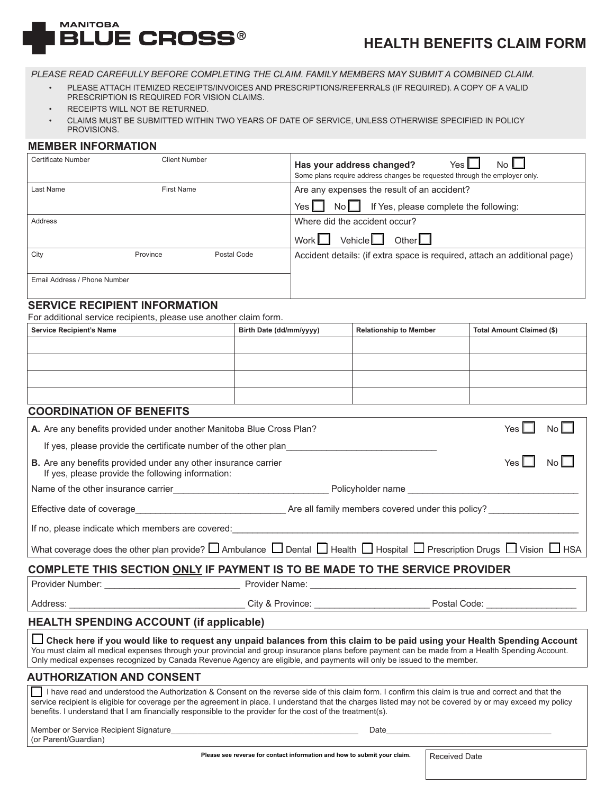

# **HEALTH BENEFITS CLAIM FORM**

*PLEASE READ CAREFULLY BEFORE COMPLETING THE CLAIM. FAMILY MEMBERS MAY SUBMIT A COMBINED CLAIM.*

- PLEASE ATTACH ITEMIZED RECEIPTS/INVOICES AND PRESCRIPTIONS/REFERRALS (IF REQUIRED). A COPY OF A VALID PRESCRIPTION IS REQUIRED FOR VISION CLAIMS.
- RECEIPTS WILL NOT BE RETURNED.
- CLAIMS MUST BE SUBMITTED WITHIN TWO YEARS OF DATE OF SERVICE, UNLESS OTHERWISE SPECIFIED IN POLICY PROVISIONS.

#### **MEMBER INFORMATION**

| <b>Certificate Number</b>    | <b>Client Number</b> |             | Has your address changed?<br>Yes I<br>No L<br>Some plans require address changes be requested through the employer only. |  |  |
|------------------------------|----------------------|-------------|--------------------------------------------------------------------------------------------------------------------------|--|--|
| Last Name                    | <b>First Name</b>    |             | Are any expenses the result of an accident?                                                                              |  |  |
|                              |                      |             | If Yes, please complete the following:<br>Yes $\Box$<br>$N \circ \Box$                                                   |  |  |
| Address                      |                      |             | Where did the accident occur?                                                                                            |  |  |
|                              |                      |             | Other $\square$<br>Vehicle $\Box$<br>Work L                                                                              |  |  |
| City                         | Province             | Postal Code | Accident details: (if extra space is required, attach an additional page)                                                |  |  |
|                              |                      |             |                                                                                                                          |  |  |
| Email Address / Phone Number |                      |             |                                                                                                                          |  |  |
|                              |                      |             |                                                                                                                          |  |  |

### **SERVICE RECIPIENT INFORMATION**

For additional service recipients, please use another claim form.

| <b>Service Recipient's Name</b> | Birth Date (dd/mm/yyyy) | <b>Relationship to Member</b> | Total Amount Claimed (\$) |  |
|---------------------------------|-------------------------|-------------------------------|---------------------------|--|
|                                 |                         |                               |                           |  |
|                                 |                         |                               |                           |  |
|                                 |                         |                               |                           |  |
|                                 |                         |                               |                           |  |

### **COORDINATION OF BENEFITS**

| A. Are any benefits provided under another Manitoba Blue Cross Plan?                                                                                                                                                                                                                                                                                                                                       |  |  |       | $No$ $\Box$ |  |
|------------------------------------------------------------------------------------------------------------------------------------------------------------------------------------------------------------------------------------------------------------------------------------------------------------------------------------------------------------------------------------------------------------|--|--|-------|-------------|--|
| If yes, please provide the certificate number of the other plan                                                                                                                                                                                                                                                                                                                                            |  |  |       |             |  |
| <b>B.</b> Are any benefits provided under any other insurance carrier<br>If yes, please provide the following information:                                                                                                                                                                                                                                                                                 |  |  | Yes I | $No$ $\Box$ |  |
|                                                                                                                                                                                                                                                                                                                                                                                                            |  |  |       |             |  |
|                                                                                                                                                                                                                                                                                                                                                                                                            |  |  |       |             |  |
| If no, please indicate which members are covered: example and contact the control of the control of the control of the control of the control of the control of the control of the control of the control of the control of th                                                                                                                                                                             |  |  |       |             |  |
| What coverage does the other plan provide? $\square$ Ambulance $\square$ Dental $\square$ Health $\square$ Hospital $\square$ Prescription Drugs $\square$ Vision $\square$ HSA                                                                                                                                                                                                                            |  |  |       |             |  |
| COMPLETE THIS SECTION ONLY IF PAYMENT IS TO BE MADE TO THE SERVICE PROVIDER                                                                                                                                                                                                                                                                                                                                |  |  |       |             |  |
|                                                                                                                                                                                                                                                                                                                                                                                                            |  |  |       |             |  |
|                                                                                                                                                                                                                                                                                                                                                                                                            |  |  |       |             |  |
| <b>HEALTH SPENDING ACCOUNT (if applicable)</b>                                                                                                                                                                                                                                                                                                                                                             |  |  |       |             |  |
| L Check here if you would like to request any unpaid balances from this claim to be paid using your Health Spending Account<br>You must claim all medical expenses through your provincial and group insurance plans before payment can be made from a Health Spending Account.<br>Only medical expenses recognized by Canada Revenue Agency are eligible, and payments will only be issued to the member. |  |  |       |             |  |
| <b>AUTHORIZATION AND CONSENT</b>                                                                                                                                                                                                                                                                                                                                                                           |  |  |       |             |  |
| I have read and understood the Authorization & Consent on the reverse side of this claim form. I confirm this claim is true and correct and that the<br>service recipient is eligible for coverage per the agreement in place. I understand that the charges listed may not be covered by or may exceed my policy                                                                                          |  |  |       |             |  |

benefits. I understand that I am financially responsible to the provider for the cost of the treatment(s).

Member or Service Recipient Signature **Network of Service Service** Date (or Parent/Guardian)

Please see reverse for contact information and how to submit your claim. | Received Date